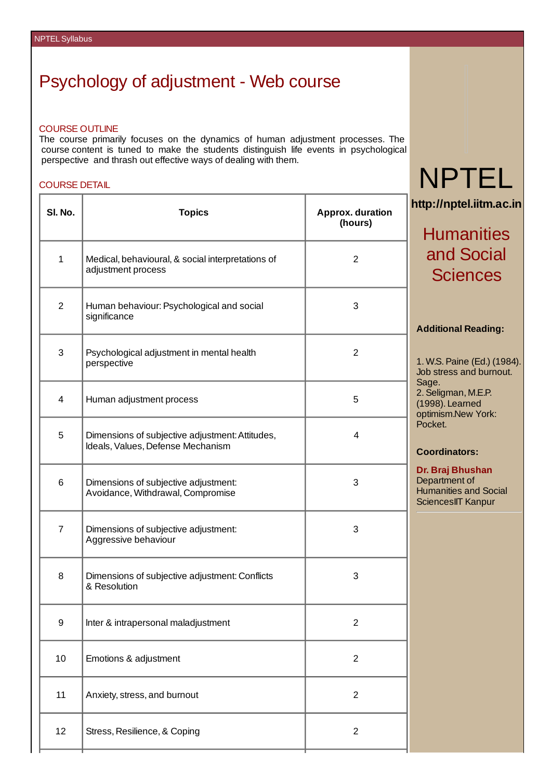# Psychology of adjustment - Web course

#### COURSE OUTLINE

The course primarily focuses on the dynamics of human adjustment processes. The course content is tuned to make the students distinguish life events in psychological perspective and thrash out effective ways of dealing with them.

#### COURSE DETAIL

| SI. No.        | <b>Topics</b>                                                                        | Approx. duration<br>(hours) |
|----------------|--------------------------------------------------------------------------------------|-----------------------------|
| $\mathbf{1}$   | Medical, behavioural, & social interpretations of<br>adjustment process              | 2                           |
| $\overline{2}$ | Human behaviour: Psychological and social<br>significance                            | 3                           |
| 3              | Psychological adjustment in mental health<br>perspective                             | $\overline{c}$              |
| 4              | Human adjustment process                                                             | 5                           |
| 5              | Dimensions of subjective adjustment: Attitudes,<br>Ideals, Values, Defense Mechanism | $\overline{4}$              |
| 6              | Dimensions of subjective adjustment:<br>Avoidance, Withdrawal, Compromise            | 3                           |
| $\overline{7}$ | Dimensions of subjective adjustment:<br>Aggressive behaviour                         | 3                           |
| 8              | Dimensions of subjective adjustment: Conflicts<br>& Resolution                       | 3                           |
| 9              | Inter & intrapersonal maladjustment                                                  | $\overline{c}$              |
| 10             | Emotions & adjustment                                                                | $\overline{c}$              |
| $11\,$         | Anxiety, stress, and burnout                                                         | $\overline{c}$              |
| 12             | Stress, Resilience, & Coping                                                         | $\overline{c}$              |

# NPTEL

**http://nptel.iitm.ac.in**

# **Humanities** and Social **Sciences**

### **Additional Reading:**

1. W.S.Paine (Ed.) (1984). Job stress and burnout. Sage. 2.Seligman, M.E.P. (1998). Learned optimism.New York: Pocket.

### **Coordinators:**

**Dr. Braj Bhushan** Department of Humanities and Social SciencesIIT Kanpur